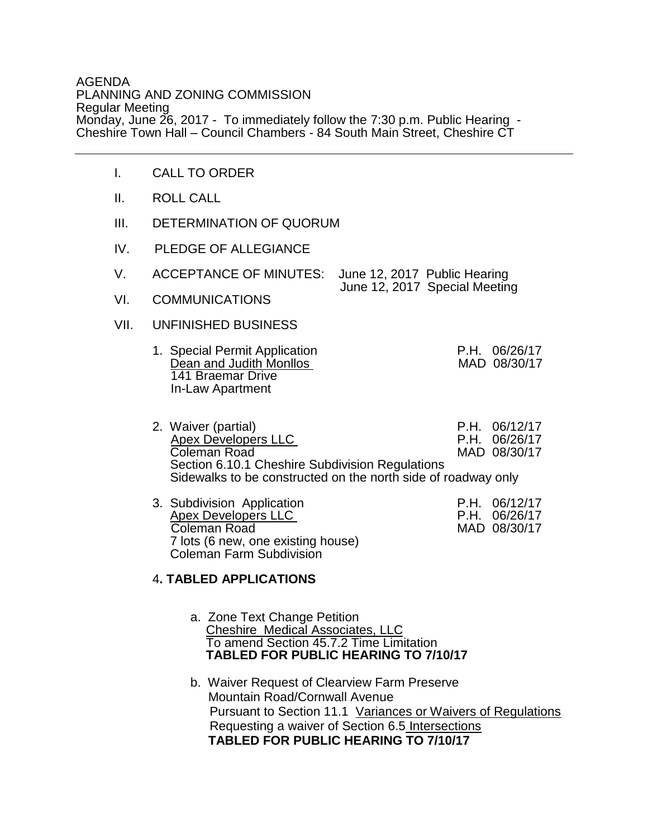## AGENDA PLANNING AND ZONING COMMISSION Regular Meeting Monday, June 26, 2017 - To immediately follow the 7:30 p.m. Public Hearing - Cheshire Town Hall – Council Chambers - 84 South Main Street, Cheshire CT

- I. CALL TO ORDER
- II. ROLL CALL
- III. DETERMINATION OF QUORUM
- IV. PLEDGE OF ALLEGIANCE

| ACCEPTANCE OF MINUTES: June 12, 2017 Public Hearing |                               |
|-----------------------------------------------------|-------------------------------|
|                                                     | June 12, 2017 Special Meeting |

- VI. COMMUNICATIONS
- VII. UNFINISHED BUSINESS
	- 1. Special Permit Application<br>
	Dean and Judith Monllos<br>
	MAD 08/30/17 Dean and Judith Monllos 141 Braemar Drive In-Law Apartment
- 2. Waiver (partial) <br>Apex Developers II C C B R P.H. 06/26/17 Apex Developers LLC **P.H. 06/26/17** Coleman Road MAD 08/30/17 Section 6.10.1 Cheshire Subdivision Regulations Sidewalks to be constructed on the north side of roadway only
	- 3. Subdivision Application <br>Apex Developers LLC <br>P.H. 06/26/17 P.H. 06/26/17<br>Coleman Road **P.H. 06/26/17**<br>MAD 08/30/17 Coleman Road 7 lots (6 new, one existing house) Coleman Farm Subdivision

## 4**. TABLED APPLICATIONS**

- a. Zone Text Change Petition Cheshire Medical Associates, LLC To amend Section 45.7.2 Time Limitation **TABLED FOR PUBLIC HEARING TO 7/10/17** 
	- b. Waiver Request of Clearview Farm Preserve Mountain Road/Cornwall Avenue Pursuant to Section 11.1 Variances or Waivers of Regulations Requesting a waiver of Section 6.5 Intersections **TABLED FOR PUBLIC HEARING TO 7/10/17**